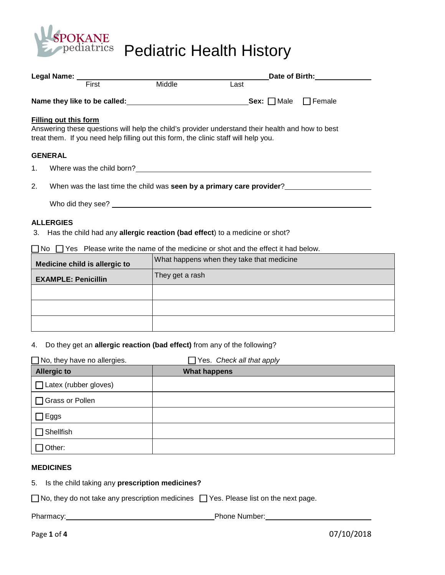

OKANE<br>Dediatrics Pediatric Health History

|    |                                                                                                              | Date of Birth: The Case of Birth:                                                                |  |  |  |  |  |  |  |
|----|--------------------------------------------------------------------------------------------------------------|--------------------------------------------------------------------------------------------------|--|--|--|--|--|--|--|
|    | Legal Name: First Middle                                                                                     | Last                                                                                             |  |  |  |  |  |  |  |
|    |                                                                                                              |                                                                                                  |  |  |  |  |  |  |  |
|    | Filling out this form<br>treat them. If you need help filling out this form, the clinic staff will help you. | Answering these questions will help the child's provider understand their health and how to best |  |  |  |  |  |  |  |
|    | <b>GENERAL</b>                                                                                               |                                                                                                  |  |  |  |  |  |  |  |
|    |                                                                                                              |                                                                                                  |  |  |  |  |  |  |  |
| 2. |                                                                                                              | When was the last time the child was seen by a primary care provider?                            |  |  |  |  |  |  |  |
|    |                                                                                                              |                                                                                                  |  |  |  |  |  |  |  |
|    | <b>ALLERGIES</b>                                                                                             | 3. Has the child had any allergic reaction (bad effect) to a medicine or shot?                   |  |  |  |  |  |  |  |
|    |                                                                                                              | $\Box$ No $\Box$ Yes Please write the name of the medicine or shot and the effect it had below.  |  |  |  |  |  |  |  |

| Medicine child is allergic to | What happens when they take that medicine |
|-------------------------------|-------------------------------------------|
| <b>EXAMPLE: Penicillin</b>    | They get a rash                           |
|                               |                                           |
|                               |                                           |
|                               |                                           |

# 4. Do they get an **allergic reaction (bad effect)** from any of the following?

| $\Box$ No, they have no allergies. | Yes. Check all that apply<br>$\mathbf{I}$ |
|------------------------------------|-------------------------------------------|
| <b>Allergic to</b>                 | <b>What happens</b>                       |
| $\Box$ Latex (rubber gloves)       |                                           |
| Grass or Pollen                    |                                           |
| Eggs                               |                                           |
| Shellfish                          |                                           |
| Other:                             |                                           |

#### **MEDICINES**

5. Is the child taking any **prescription medicines?**

| $\Box$ No, they do not take any prescription medicines $\Box$ Yes. Please list on the next page. |  |
|--------------------------------------------------------------------------------------------------|--|
|--------------------------------------------------------------------------------------------------|--|

Pharmacy: Pharmacy: Phone Number: Phone Number: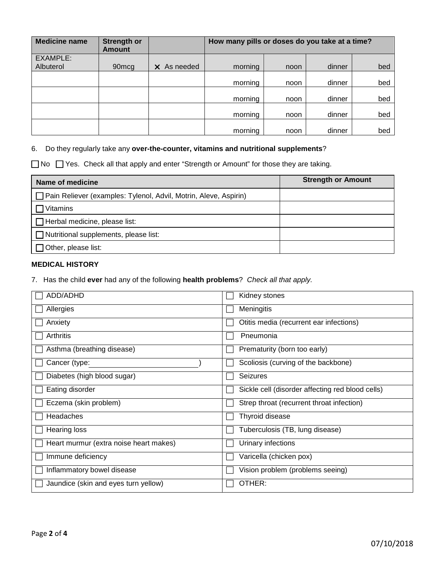| <b>Medicine name</b> | <b>Strength or</b><br><b>Amount</b> |                    | How many pills or doses do you take at a time? |      |        |     |  |  |
|----------------------|-------------------------------------|--------------------|------------------------------------------------|------|--------|-----|--|--|
| EXAMPLE:             |                                     |                    |                                                |      |        |     |  |  |
| Albuterol            | 90 <sub>mcg</sub>                   | $\times$ As needed | morning                                        | noon | dinner | bed |  |  |
|                      |                                     |                    | morning                                        | noon | dinner | bed |  |  |
|                      |                                     |                    | morning                                        | noon | dinner | bed |  |  |
|                      |                                     |                    | morning                                        | noon | dinner | bed |  |  |
|                      |                                     |                    | morning                                        | noon | dinner | bed |  |  |

#### 6. Do they regularly take any **over-the-counter, vitamins and nutritional supplements**?

□ No □ Yes. Check all that apply and enter "Strength or Amount" for those they are taking.

| Name of medicine                                                 | <b>Strength or Amount</b> |
|------------------------------------------------------------------|---------------------------|
| Pain Reliever (examples: Tylenol, Advil, Motrin, Aleve, Aspirin) |                           |
| 7 Vitamins                                                       |                           |
| $\Box$ Herbal medicine, please list:                             |                           |
| $\Box$ Nutritional supplements, please list:                     |                           |
| $\Box$ Other, please list:                                       |                           |

# **MEDICAL HISTORY**

7. Has the child **ever** had any of the following **health problems**? Check all that apply.

| ADD/ADHD                               | Kidney stones                                    |
|----------------------------------------|--------------------------------------------------|
| Allergies                              | Meningitis                                       |
| Anxiety                                | Otitis media (recurrent ear infections)          |
| Arthritis                              | Pneumonia                                        |
| Asthma (breathing disease)             | Prematurity (born too early)                     |
| Cancer (type:                          | Scoliosis (curving of the backbone)              |
| Diabetes (high blood sugar)            | <b>Seizures</b>                                  |
| Eating disorder                        | Sickle cell (disorder affecting red blood cells) |
| Eczema (skin problem)                  | Strep throat (recurrent throat infection)        |
| Headaches                              | Thyroid disease                                  |
| <b>Hearing loss</b>                    | Tuberculosis (TB, lung disease)                  |
| Heart murmur (extra noise heart makes) | Urinary infections                               |
| Immune deficiency                      | Varicella (chicken pox)                          |
| Inflammatory bowel disease             | Vision problem (problems seeing)                 |
| Jaundice (skin and eyes turn yellow)   | OTHER:                                           |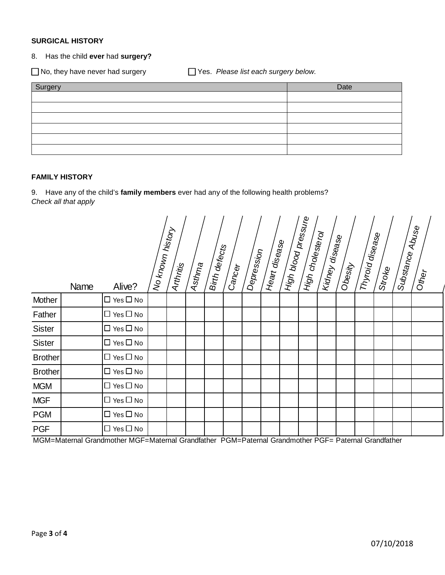## **SURGICAL HISTORY**

## 8. Has the child **ever** had **surgery?**

□ No, they have never had surgery <br>□ Yes. Please list each surgery below.

| Surgery | Date |
|---------|------|
|         |      |
|         |      |
|         |      |
|         |      |
|         |      |
|         |      |

### **FAMILY HISTORY**

9. Have any of the child's **family members** ever had any of the following health problems? Check all that apply

|                | Name | Alive?               | No known history | Arthritis | Asth <sub>ma</sub> | Birth defects | Can <sub>Cer</sub> | Depression | Heart disease | High blood pressure | High cholesterol | Kidney disea <sub>se</sub> | Obesity | <b>Thyroid disease</b> | Stroke | Substance | Abuse<br>Other |
|----------------|------|----------------------|------------------|-----------|--------------------|---------------|--------------------|------------|---------------|---------------------|------------------|----------------------------|---------|------------------------|--------|-----------|----------------|
| Mother         |      | $\Box$ Yes $\Box$ No |                  |           |                    |               |                    |            |               |                     |                  |                            |         |                        |        |           |                |
| Father         |      | $\Box$ Yes $\Box$ No |                  |           |                    |               |                    |            |               |                     |                  |                            |         |                        |        |           |                |
| Sister         |      | $\Box$ Yes $\Box$ No |                  |           |                    |               |                    |            |               |                     |                  |                            |         |                        |        |           |                |
| <b>Sister</b>  |      | $\Box$ Yes $\Box$ No |                  |           |                    |               |                    |            |               |                     |                  |                            |         |                        |        |           |                |
| <b>Brother</b> |      | $\Box$ Yes $\Box$ No |                  |           |                    |               |                    |            |               |                     |                  |                            |         |                        |        |           |                |
| <b>Brother</b> |      | $\Box$ Yes $\Box$ No |                  |           |                    |               |                    |            |               |                     |                  |                            |         |                        |        |           |                |
| <b>MGM</b>     |      | $\Box$ Yes $\Box$ No |                  |           |                    |               |                    |            |               |                     |                  |                            |         |                        |        |           |                |
| <b>MGF</b>     |      | $\Box$ Yes $\Box$ No |                  |           |                    |               |                    |            |               |                     |                  |                            |         |                        |        |           |                |
| <b>PGM</b>     |      | $\Box$ Yes $\Box$ No |                  |           |                    |               |                    |            |               |                     |                  |                            |         |                        |        |           |                |
| <b>PGF</b>     |      | $\Box$ Yes $\Box$ No |                  |           |                    |               |                    |            |               |                     |                  |                            |         |                        |        |           |                |

MGM=Maternal Grandmother MGF=Maternal Grandfather PGM=Paternal Grandmother PGF= Paternal Grandfather